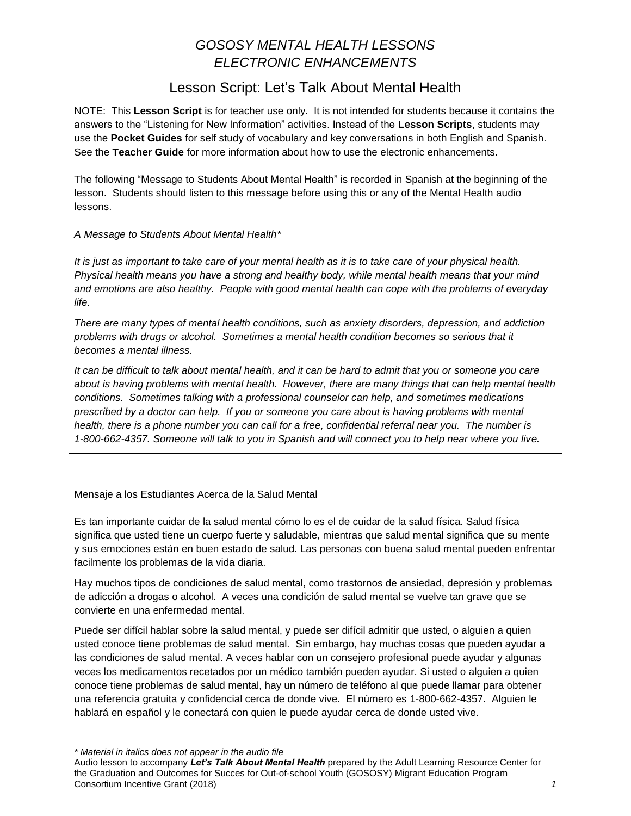# *GOSOSY MENTAL HEALTH LESSONS ELECTRONIC ENHANCEMENTS*

## Lesson Script: Let's Talk About Mental Health

NOTE: This **Lesson Script** is for teacher use only. It is not intended for students because it contains the answers to the "Listening for New Information" activities. Instead of the **Lesson Scripts**, students may use the **Pocket Guides** for self study of vocabulary and key conversations in both English and Spanish. See the **Teacher Guide** for more information about how to use the electronic enhancements.

The following "Message to Students About Mental Health" is recorded in Spanish at the beginning of the lesson. Students should listen to this message before using this or any of the Mental Health audio lessons.

*A Message to Students About Mental Health\**

*It is just as important to take care of your mental health as it is to take care of your physical health. Physical health means you have a strong and healthy body, while mental health means that your mind and emotions are also healthy. People with good mental health can cope with the problems of everyday life.*

*There are many types of mental health conditions, such as anxiety disorders, depression, and addiction problems with drugs or alcohol. Sometimes a mental health condition becomes so serious that it becomes a mental illness.* 

*It can be difficult to talk about mental health, and it can be hard to admit that you or someone you care about is having problems with mental health. However, there are many things that can help mental health conditions. Sometimes talking with a professional counselor can help, and sometimes medications prescribed by a doctor can help. If you or someone you care about is having problems with mental health, there is a phone number you can call for a free, confidential referral near you. The number is 1-800-662-4357. Someone will talk to you in Spanish and will connect you to help near where you live.*

Mensaje a los Estudiantes Acerca de la Salud Mental

Es tan importante cuidar de la salud mental cómo lo es el de cuidar de la salud física. Salud física significa que usted tiene un cuerpo fuerte y saludable, mientras que salud mental significa que su mente y sus emociones están en buen estado de salud. Las personas con buena salud mental pueden enfrentar facilmente los problemas de la vida diaria.

Hay muchos tipos de condiciones de salud mental, como trastornos de ansiedad, depresión y problemas de adicción a drogas o alcohol. A veces una condición de salud mental se vuelve tan grave que se convierte en una enfermedad mental.

Puede ser difícil hablar sobre la salud mental, y puede ser difícil admitir que usted, o alguien a quien usted conoce tiene problemas de salud mental. Sin embargo, hay muchas cosas que pueden ayudar a las condiciones de salud mental. A veces hablar con un consejero profesional puede ayudar y algunas veces los medicamentos recetados por un médico también pueden ayudar. Si usted o alguien a quien conoce tiene problemas de salud mental, hay un número de teléfono al que puede llamar para obtener una referencia gratuita y confidencial cerca de donde vive. El número es 1-800-662-4357. Alguien le hablará en español y le conectará con quien le puede ayudar cerca de donde usted vive.

*\* Material in italics does not appear in the audio file*

Audio lesson to accompany *Let's Talk About Mental Health* prepared by the Adult Learning Resource Center for the Graduation and Outcomes for Succes for Out-of-school Youth (GOSOSY) Migrant Education Program Consortium Incentive Grant (2018) *1*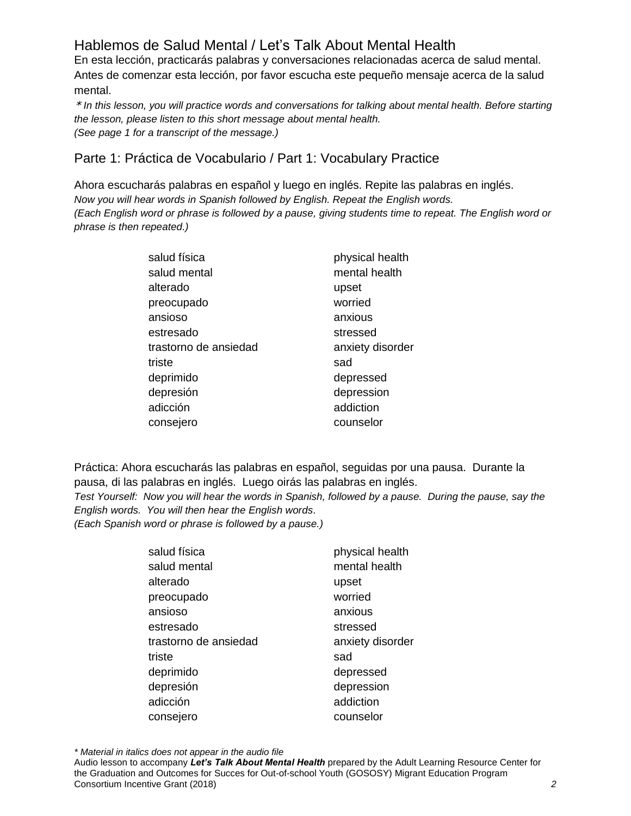# Hablemos de Salud Mental / Let's Talk About Mental Health

En esta lección, practicarás palabras y conversaciones relacionadas acerca de salud mental. Antes de comenzar esta lección, por favor escucha este pequeño mensaje acerca de la salud mental.

\* *In this lesson, you will practice words and conversations for talking about mental health. Before starting the lesson, please listen to this short message about mental health. (See page 1 for a transcript of the message.)* 

#### Parte 1: Práctica de Vocabulario / Part 1: Vocabulary Practice

Ahora escucharás palabras en español y luego en inglés. Repite las palabras en inglés. *Now you will hear words in Spanish followed by English. Repeat the English words. (Each English word or phrase is followed by a pause, giving students time to repeat. The English word or phrase is then repeated.)*

| salud física          | physical health  |
|-----------------------|------------------|
| salud mental          | mental health    |
| alterado              | upset            |
| preocupado            | worried          |
| ansioso               | anxious          |
| estresado             | stressed         |
| trastorno de ansiedad | anxiety disorder |
| triste                | sad              |
| deprimido             | depressed        |
| depresión             | depression       |
| adicción              | addiction        |
| consejero             | counselor        |

Práctica: Ahora escucharás las palabras en español, seguidas por una pausa. Durante la pausa, di las palabras en inglés. Luego oirás las palabras en inglés.

*Test Yourself: Now you will hear the words in Spanish, followed by a pause. During the pause, say the English words. You will then hear the English words*.

*(Each Spanish word or phrase is followed by a pause.)*

| physical health  |
|------------------|
| mental health    |
| upset            |
| worried          |
| anxious          |
| stressed         |
| anxiety disorder |
| sad              |
| depressed        |
| depression       |
| addiction        |
| counselor        |
|                  |

*\* Material in italics does not appear in the audio file*

Audio lesson to accompany *Let's Talk About Mental Health* prepared by the Adult Learning Resource Center for the Graduation and Outcomes for Succes for Out-of-school Youth (GOSOSY) Migrant Education Program Consortium Incentive Grant (2018) *2*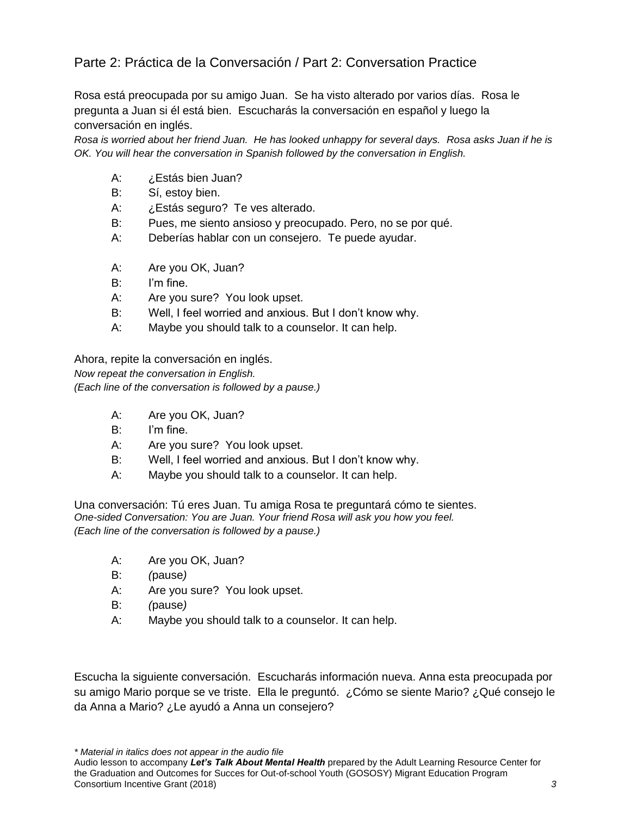### Parte 2: Práctica de la Conversación / Part 2: Conversation Practice

Rosa está preocupada por su amigo Juan. Se ha visto alterado por varios días. Rosa le pregunta a Juan si él está bien. Escucharás la conversación en español y luego la conversación en inglés.

*Rosa is worried about her friend Juan. He has looked unhappy for several days. Rosa asks Juan if he is OK. You will hear the conversation in Spanish followed by the conversation in English.* 

- A: ¿Estás bien Juan?
- B: Sí, estoy bien.
- A: ¿Estás seguro? Te ves alterado.
- B: Pues, me siento ansioso y preocupado. Pero, no se por qué.
- A: Deberías hablar con un consejero. Te puede ayudar.
- A: Are you OK, Juan?
- B: I'm fine.
- A: Are you sure? You look upset.
- B: Well, I feel worried and anxious. But I don't know why.
- A: Maybe you should talk to a counselor. It can help.

Ahora, repite la conversación en inglés.

*Now repeat the conversation in English.* 

*(Each line of the conversation is followed by a pause.)*

- A: Are you OK, Juan?
- B: I'm fine.
- A: Are you sure? You look upset.
- B: Well, I feel worried and anxious. But I don't know why.
- A: Maybe you should talk to a counselor. It can help.

Una conversación: Tú eres Juan. Tu amiga Rosa te preguntará cómo te sientes. *One-sided Conversation: You are Juan. Your friend Rosa will ask you how you feel. (Each line of the conversation is followed by a pause.)*

- A: Are you OK, Juan?
- B: *(*pause*)*
- A: Are you sure? You look upset.
- B: *(*pause*)*
- A: Maybe you should talk to a counselor. It can help.

Escucha la siguiente conversación. Escucharás información nueva. Anna esta preocupada por su amigo Mario porque se ve triste. Ella le preguntó. ¿Cómo se siente Mario? ¿Qué consejo le da Anna a Mario? ¿Le ayudó a Anna un consejero?

*\* Material in italics does not appear in the audio file*

Audio lesson to accompany *Let's Talk About Mental Health* prepared by the Adult Learning Resource Center for the Graduation and Outcomes for Succes for Out-of-school Youth (GOSOSY) Migrant Education Program Consortium Incentive Grant (2018) *3*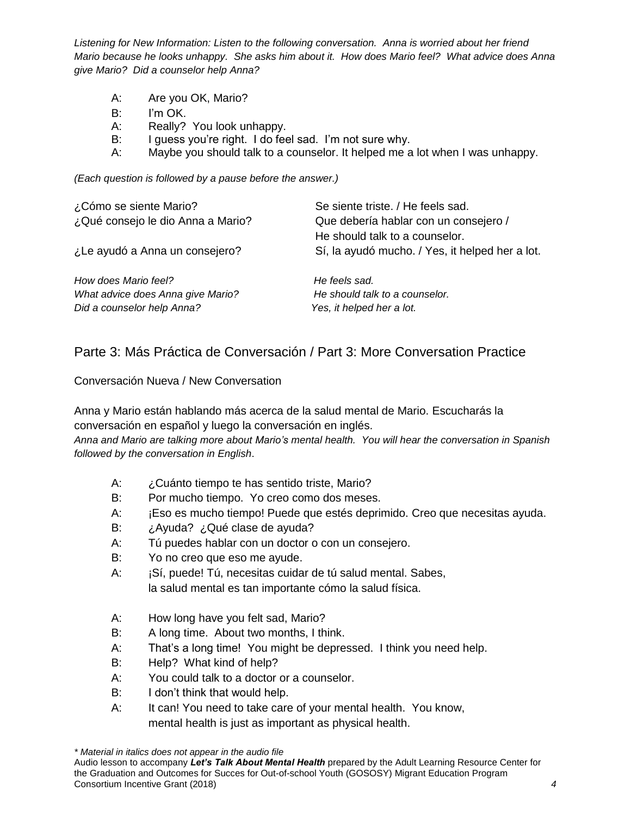*Listening for New Information: Listen to the following conversation. Anna is worried about her friend Mario because he looks unhappy. She asks him about it. How does Mario feel? What advice does Anna give Mario? Did a counselor help Anna?* 

- A: Are you OK, Mario?
- B: I'm OK.
- A: Really? You look unhappy.
- B: I guess you're right. I do feel sad. I'm not sure why.
- A: Maybe you should talk to a counselor. It helped me a lot when I was unhappy.

*(Each question is followed by a pause before the answer.)*

| ¿Cómo se siente Mario?            | Se siente triste. / He feels sad.               |
|-----------------------------------|-------------------------------------------------|
| ¿Qué consejo le dio Anna a Mario? | Que debería hablar con un consejero /           |
|                                   | He should talk to a counselor.                  |
| ¿Le ayudó a Anna un consejero?    | Sí, la ayudó mucho. / Yes, it helped her a lot. |
| How does Mario feel?              | He feels sad.                                   |
| What advice does Anna give Mario? | He should talk to a counselor.                  |
| Did a counselor help Anna?        | Yes, it helped her a lot.                       |

### Parte 3: Más Práctica de Conversación / Part 3: More Conversation Practice

Conversación Nueva / New Conversation

Anna y Mario están hablando más acerca de la salud mental de Mario. Escucharás la conversación en español y luego la conversación en inglés.

*Anna and Mario are talking more about Mario's mental health. You will hear the conversation in Spanish followed by the conversation in English*.

- A: ¿Cuánto tiempo te has sentido triste, Mario?
- B: Por mucho tiempo. Yo creo como dos meses.
- A: **iEso es mucho tiempo! Puede que estés deprimido. Creo que necesitas ayuda.**
- B: *i*Ayuda? *i*Qué clase de ayuda?
- A: Tú puedes hablar con un doctor o con un consejero.
- B: Yo no creo que eso me ayude.
- A: ¡Sí, puede! Tú, necesitas cuidar de tú salud mental. Sabes, la salud mental es tan importante cómo la salud física.
- A: How long have you felt sad, Mario?
- B: A long time. About two months, I think.
- A: That's a long time! You might be depressed. I think you need help.
- B: Help? What kind of help?
- A: You could talk to a doctor or a counselor.
- B: I don't think that would help.
- A: It can! You need to take care of your mental health. You know, mental health is just as important as physical health.

*<sup>\*</sup> Material in italics does not appear in the audio file*

Audio lesson to accompany *Let's Talk About Mental Health* prepared by the Adult Learning Resource Center for the Graduation and Outcomes for Succes for Out-of-school Youth (GOSOSY) Migrant Education Program Consortium Incentive Grant (2018) *4*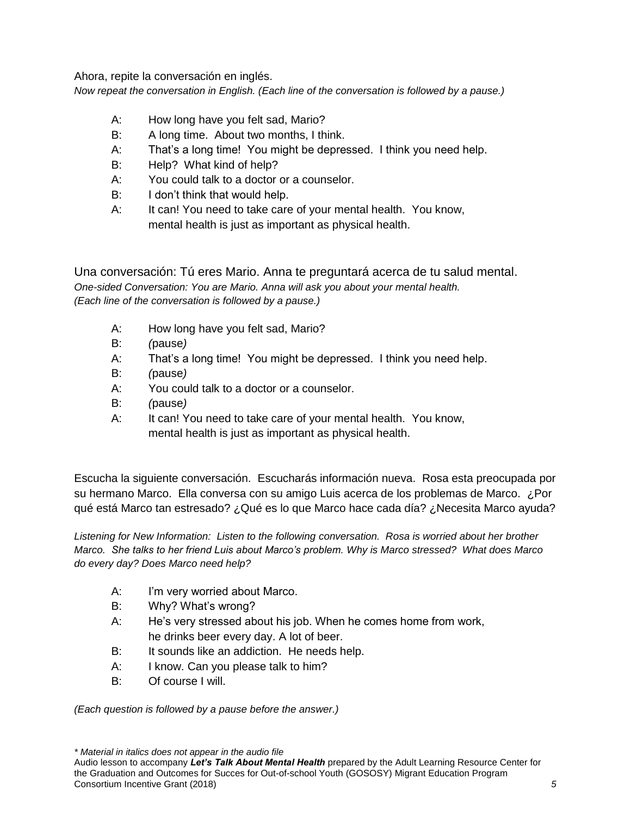Ahora, repite la conversación en inglés.

*Now repeat the conversation in English. (Each line of the conversation is followed by a pause.)*

- A: How long have you felt sad, Mario?
- B: A long time. About two months, I think.
- A: That's a long time! You might be depressed. I think you need help.
- B: Help? What kind of help?
- A: You could talk to a doctor or a counselor.
- B: I don't think that would help.
- A: It can! You need to take care of your mental health. You know, mental health is just as important as physical health.

Una conversación: Tú eres Mario. Anna te preguntará acerca de tu salud mental. *One-sided Conversation: You are Mario. Anna will ask you about your mental health. (Each line of the conversation is followed by a pause.)*

- A: How long have you felt sad, Mario?
- B: *(*pause*)*
- A: That's a long time! You might be depressed. I think you need help.
- B: *(*pause*)*
- A: You could talk to a doctor or a counselor.
- B: *(*pause*)*
- A: It can! You need to take care of your mental health. You know, mental health is just as important as physical health.

Escucha la siguiente conversación. Escucharás información nueva. Rosa esta preocupada por su hermano Marco. Ella conversa con su amigo Luis acerca de los problemas de Marco. ¿Por qué está Marco tan estresado? ¿Qué es lo que Marco hace cada día? ¿Necesita Marco ayuda?

*Listening for New Information: Listen to the following conversation. Rosa is worried about her brother Marco. She talks to her friend Luis about Marco's problem. Why is Marco stressed? What does Marco do every day? Does Marco need help?* 

- A: I'm very worried about Marco.
- B: Why? What's wrong?
- A: He's very stressed about his job. When he comes home from work, he drinks beer every day. A lot of beer.
- B: It sounds like an addiction. He needs help.
- A: I know. Can you please talk to him?
- B: Of course I will.

*(Each question is followed by a pause before the answer.)*

*\* Material in italics does not appear in the audio file*

Audio lesson to accompany *Let's Talk About Mental Health* prepared by the Adult Learning Resource Center for the Graduation and Outcomes for Succes for Out-of-school Youth (GOSOSY) Migrant Education Program Consortium Incentive Grant (2018) *5*